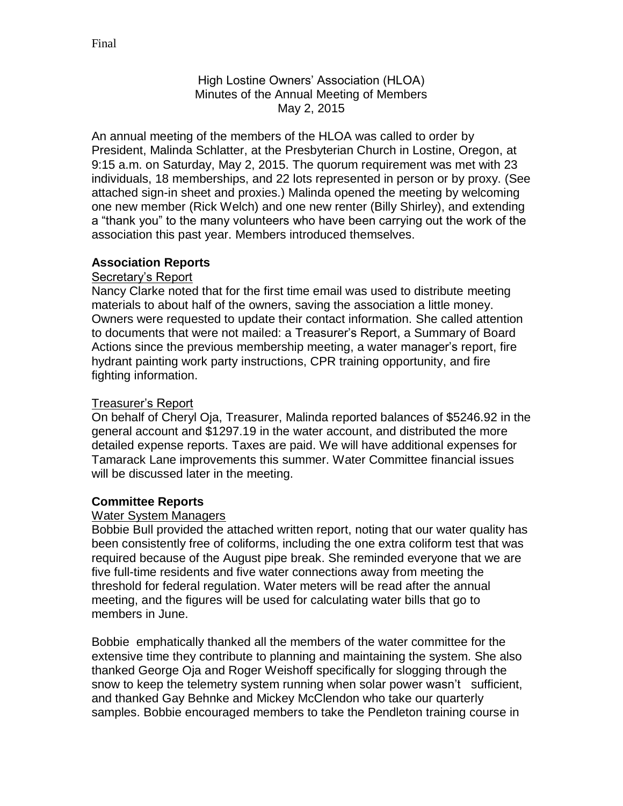High Lostine Owners' Association (HLOA) Minutes of the Annual Meeting of Members May 2, 2015

An annual meeting of the members of the HLOA was called to order by President, Malinda Schlatter, at the Presbyterian Church in Lostine, Oregon, at 9:15 a.m. on Saturday, May 2, 2015. The quorum requirement was met with 23 individuals, 18 memberships, and 22 lots represented in person or by proxy. (See attached sign-in sheet and proxies.) Malinda opened the meeting by welcoming one new member (Rick Welch) and one new renter (Billy Shirley), and extending a "thank you" to the many volunteers who have been carrying out the work of the association this past year. Members introduced themselves.

## **Association Reports**

### Secretary's Report

Nancy Clarke noted that for the first time email was used to distribute meeting materials to about half of the owners, saving the association a little money. Owners were requested to update their contact information. She called attention to documents that were not mailed: a Treasurer's Report, a Summary of Board Actions since the previous membership meeting, a water manager's report, fire hydrant painting work party instructions, CPR training opportunity, and fire fighting information.

### Treasurer's Report

On behalf of Cheryl Oja, Treasurer, Malinda reported balances of \$5246.92 in the general account and \$1297.19 in the water account, and distributed the more detailed expense reports. Taxes are paid. We will have additional expenses for Tamarack Lane improvements this summer. Water Committee financial issues will be discussed later in the meeting.

### **Committee Reports**

#### Water System Managers

Bobbie Bull provided the attached written report, noting that our water quality has been consistently free of coliforms, including the one extra coliform test that was required because of the August pipe break. She reminded everyone that we are five full-time residents and five water connections away from meeting the threshold for federal regulation. Water meters will be read after the annual meeting, and the figures will be used for calculating water bills that go to members in June.

Bobbie emphatically thanked all the members of the water committee for the extensive time they contribute to planning and maintaining the system. She also thanked George Oja and Roger Weishoff specifically for slogging through the snow to keep the telemetry system running when solar power wasn't sufficient, and thanked Gay Behnke and Mickey McClendon who take our quarterly samples. Bobbie encouraged members to take the Pendleton training course in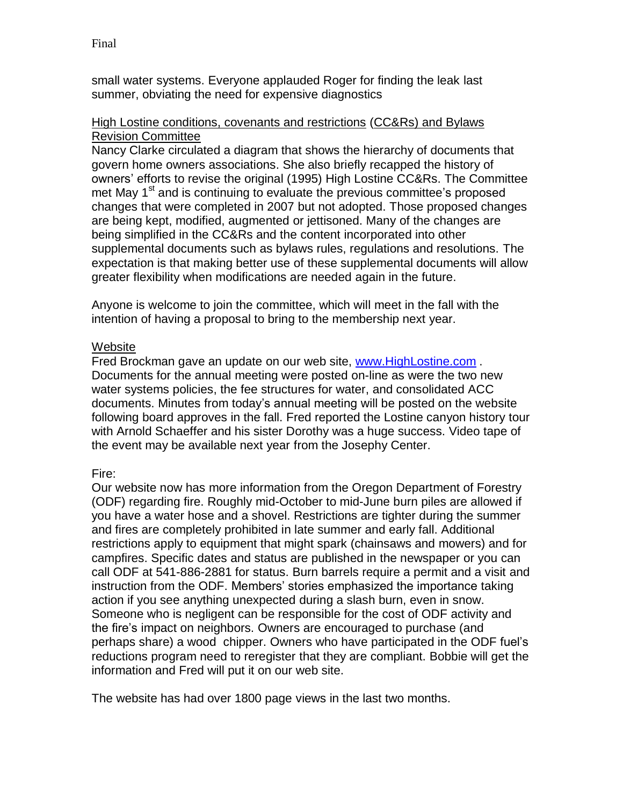small water systems. Everyone applauded Roger for finding the leak last summer, obviating the need for expensive diagnostics

### High Lostine conditions, covenants and restrictions (CC&Rs) and Bylaws Revision Committee

Nancy Clarke circulated a diagram that shows the hierarchy of documents that govern home owners associations. She also briefly recapped the history of owners' efforts to revise the original (1995) High Lostine CC&Rs. The Committee met May 1<sup>st</sup> and is continuing to evaluate the previous committee's proposed changes that were completed in 2007 but not adopted. Those proposed changes are being kept, modified, augmented or jettisoned. Many of the changes are being simplified in the CC&Rs and the content incorporated into other supplemental documents such as bylaws rules, regulations and resolutions. The expectation is that making better use of these supplemental documents will allow greater flexibility when modifications are needed again in the future.

Anyone is welcome to join the committee, which will meet in the fall with the intention of having a proposal to bring to the membership next year.

## **Website**

Fred Brockman gave an update on our web site, [www.HighLostine.com](http://www.highlostine.com/) . Documents for the annual meeting were posted on-line as were the two new water systems policies, the fee structures for water, and consolidated ACC documents. Minutes from today's annual meeting will be posted on the website following board approves in the fall. Fred reported the Lostine canyon history tour with Arnold Schaeffer and his sister Dorothy was a huge success. Video tape of the event may be available next year from the Josephy Center.

# Fire:

Our website now has more information from the Oregon Department of Forestry (ODF) regarding fire. Roughly mid-October to mid-June burn piles are allowed if you have a water hose and a shovel. Restrictions are tighter during the summer and fires are completely prohibited in late summer and early fall. Additional restrictions apply to equipment that might spark (chainsaws and mowers) and for campfires. Specific dates and status are published in the newspaper or you can call ODF at 541-886-2881 for status. Burn barrels require a permit and a visit and instruction from the ODF. Members' stories emphasized the importance taking action if you see anything unexpected during a slash burn, even in snow. Someone who is negligent can be responsible for the cost of ODF activity and the fire's impact on neighbors. Owners are encouraged to purchase (and perhaps share) a wood chipper. Owners who have participated in the ODF fuel's reductions program need to reregister that they are compliant. Bobbie will get the information and Fred will put it on our web site.

The website has had over 1800 page views in the last two months.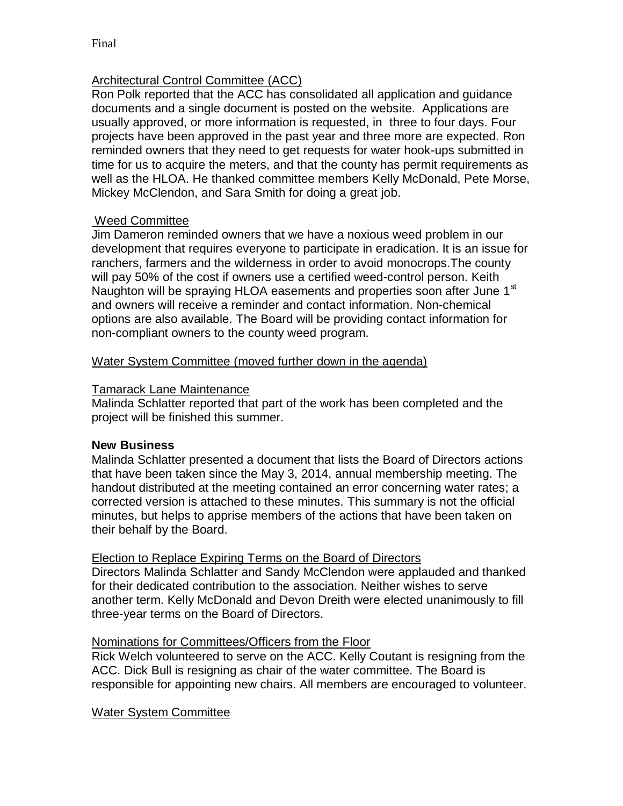## Architectural Control Committee (ACC)

Ron Polk reported that the ACC has consolidated all application and guidance documents and a single document is posted on the website. Applications are usually approved, or more information is requested, in three to four days. Four projects have been approved in the past year and three more are expected. Ron reminded owners that they need to get requests for water hook-ups submitted in time for us to acquire the meters, and that the county has permit requirements as well as the HLOA. He thanked committee members Kelly McDonald, Pete Morse, Mickey McClendon, and Sara Smith for doing a great job.

## Weed Committee

Jim Dameron reminded owners that we have a noxious weed problem in our development that requires everyone to participate in eradication. It is an issue for ranchers, farmers and the wilderness in order to avoid monocrops.The county will pay 50% of the cost if owners use a certified weed-control person. Keith Naughton will be spraying HLOA easements and properties soon after June 1<sup>st</sup> and owners will receive a reminder and contact information. Non-chemical options are also available. The Board will be providing contact information for non-compliant owners to the county weed program.

### Water System Committee (moved further down in the agenda)

### Tamarack Lane Maintenance

Malinda Schlatter reported that part of the work has been completed and the project will be finished this summer.

### **New Business**

Malinda Schlatter presented a document that lists the Board of Directors actions that have been taken since the May 3, 2014, annual membership meeting. The handout distributed at the meeting contained an error concerning water rates; a corrected version is attached to these minutes. This summary is not the official minutes, but helps to apprise members of the actions that have been taken on their behalf by the Board.

### Election to Replace Expiring Terms on the Board of Directors

Directors Malinda Schlatter and Sandy McClendon were applauded and thanked for their dedicated contribution to the association. Neither wishes to serve another term. Kelly McDonald and Devon Dreith were elected unanimously to fill three-year terms on the Board of Directors.

### Nominations for Committees/Officers from the Floor

Rick Welch volunteered to serve on the ACC. Kelly Coutant is resigning from the ACC. Dick Bull is resigning as chair of the water committee. The Board is responsible for appointing new chairs. All members are encouraged to volunteer.

### Water System Committee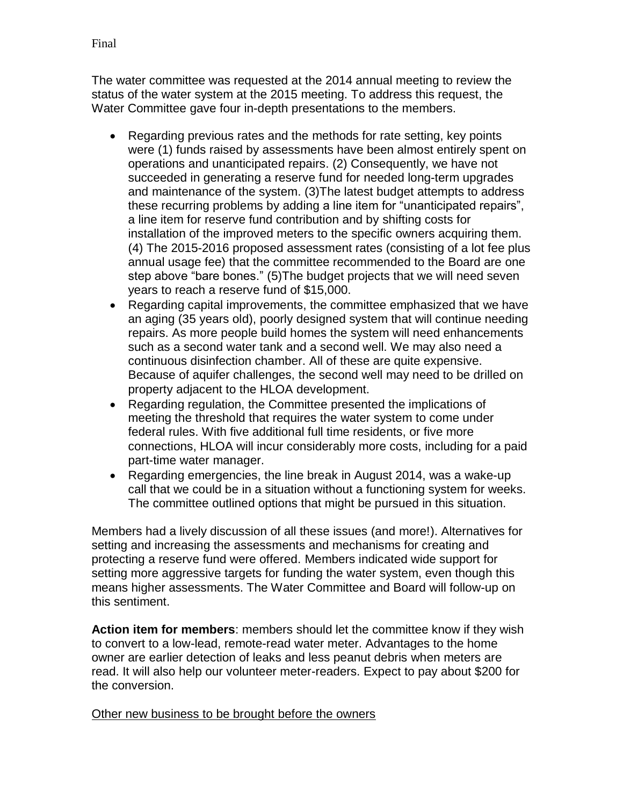The water committee was requested at the 2014 annual meeting to review the status of the water system at the 2015 meeting. To address this request, the Water Committee gave four in-depth presentations to the members.

- Regarding previous rates and the methods for rate setting, key points were (1) funds raised by assessments have been almost entirely spent on operations and unanticipated repairs. (2) Consequently, we have not succeeded in generating a reserve fund for needed long-term upgrades and maintenance of the system. (3)The latest budget attempts to address these recurring problems by adding a line item for "unanticipated repairs", a line item for reserve fund contribution and by shifting costs for installation of the improved meters to the specific owners acquiring them. (4) The 2015-2016 proposed assessment rates (consisting of a lot fee plus annual usage fee) that the committee recommended to the Board are one step above "bare bones." (5)The budget projects that we will need seven years to reach a reserve fund of \$15,000.
- Regarding capital improvements, the committee emphasized that we have an aging (35 years old), poorly designed system that will continue needing repairs. As more people build homes the system will need enhancements such as a second water tank and a second well. We may also need a continuous disinfection chamber. All of these are quite expensive. Because of aquifer challenges, the second well may need to be drilled on property adjacent to the HLOA development.
- Regarding regulation, the Committee presented the implications of meeting the threshold that requires the water system to come under federal rules. With five additional full time residents, or five more connections, HLOA will incur considerably more costs, including for a paid part-time water manager.
- Regarding emergencies, the line break in August 2014, was a wake-up call that we could be in a situation without a functioning system for weeks. The committee outlined options that might be pursued in this situation.

Members had a lively discussion of all these issues (and more!). Alternatives for setting and increasing the assessments and mechanisms for creating and protecting a reserve fund were offered. Members indicated wide support for setting more aggressive targets for funding the water system, even though this means higher assessments. The Water Committee and Board will follow-up on this sentiment.

**Action item for members**: members should let the committee know if they wish to convert to a low-lead, remote-read water meter. Advantages to the home owner are earlier detection of leaks and less peanut debris when meters are read. It will also help our volunteer meter-readers. Expect to pay about \$200 for the conversion.

# Other new business to be brought before the owners

Final